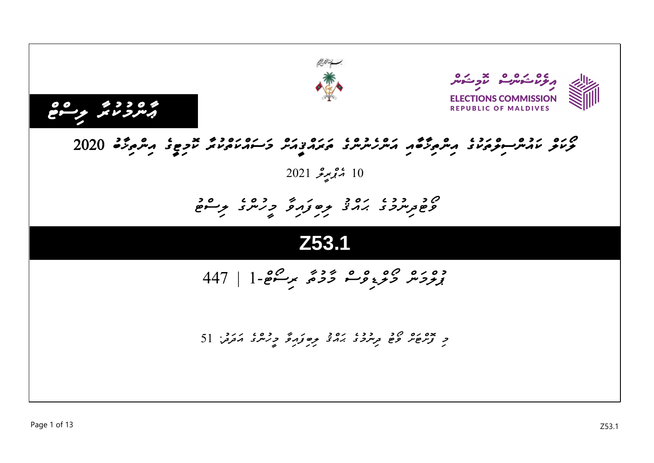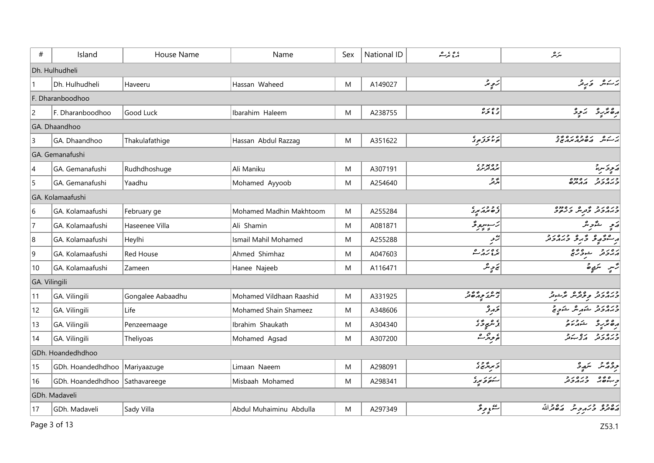| #              | Island                         | House Name        | Name                     | Sex       | National ID | ، ه ، ره<br>مره برگ                             | يترمثر                                                   |
|----------------|--------------------------------|-------------------|--------------------------|-----------|-------------|-------------------------------------------------|----------------------------------------------------------|
|                | Dh. Hulhudheli                 |                   |                          |           |             |                                                 |                                                          |
|                | Dh. Hulhudheli                 | Haveeru           | Hassan Waheed            | M         | A149027     | رَهِ بَرْ                                       | پرسەنتىر - خەسپەتىر                                      |
|                | F. Dharanboodhoo               |                   |                          |           |             |                                                 |                                                          |
| $\mathcal{P}$  | F. Dharanboodhoo               | Good Luck         | Ibarahim Haleem          | M         | A238755     | د ه بر ه<br>د ٤ مر <sup>ر</sup>                 | رەپزىر بەرە                                              |
|                | GA. Dhaandhoo                  |                   |                          |           |             |                                                 |                                                          |
| $\overline{3}$ | GA. Dhaandhoo                  | Thakulafathige    | Hassan Abdul Razzag      | ${\sf M}$ | A351622     | ر در ر<br>ه <i>لا</i> خرنومو                    | ر روم ده ده ده دود<br>بر کشور ایر هنرم مرم مخ            |
|                | GA. Gemanafushi                |                   |                          |           |             |                                                 |                                                          |
| 14             | GA. Gemanafushi                | Rudhdhoshuge      | Ali Maniku               | ${\sf M}$ | A307191     | و ه پو و پ<br>مرد ترمرد                         | ە ئېچە ئەسرىتى                                           |
| 5              | GA. Gemanafushi                | Yaadhu            | Mohamed Ayyoob           | ${\sf M}$ | A254640     | یر و<br>در نعر                                  | و ر ە ر د<br>تر بر بر تر<br>ג ם בבם<br>1ג 1 <i>ג</i> רים |
|                | GA. Kolamaafushi               |                   |                          |           |             |                                                 |                                                          |
| 6              | GA. Kolamaafushi               | February ge       | Mohamed Madhin Makhtoom  | ${\sf M}$ | A255284     | ه و وړ <sub>په ک</sub> ه<br>نو <i>ه بر</i> ټرند | ورەرو پەر 2006 كەن                                       |
| $\overline{7}$ | GA. Kolamaafushi               | Haseenee Villa    | Ali Shamin               | M         | A081871     | ز سەمبرە ۋ<br>ئىقلىقى                           | ړې شروش                                                  |
| 8              | GA. Kolamaafushi               | Heylhi            | Ismail Mahil Mohamed     | ${\sf M}$ | A255288     | ئى<br>ئىس                                       | ر عرور و و دره در د                                      |
| 9              | GA. Kolamaafushi               | <b>Red House</b>  | Ahmed Shimhaz            | M         | A047603     | ، ەبر جەھە                                      | ره ر و موره مورد بع<br>  در بروتر د مورد مورد            |
| $ 10\rangle$   | GA. Kolamaafushi               | Zameen            | Hanee Najeeb             | M         | A116471     | ئج جي شر                                        | رٌسِ سَمِوةٌ                                             |
| GA. Vilingili  |                                |                   |                          |           |             |                                                 |                                                          |
| 11             | GA. Vilingili                  | Gongalee Aabaadhu | Mohamed Vildhaan Raashid | M         | A331925     | پر مربر پر چم پر                                | ورەرو وۋىژىر ئرجىز                                       |
| 12             | GA. Vilingili                  | Life              | Mohamed Shain Shameez    | M         | A348606     | ځه ی                                            | ورەرو شەرش شەرپى                                         |
| 13             | GA. Vilingili                  | Penzeemaage       | Ibrahim Shaukath         | M         | A304340     | ، ئەھمەتە<br>بۇ ئىسى ئەتم                       | גە <i>גەر ئىدى</i> رە                                    |
| 14             | GA. Vilingili                  | Theliyoas         | Mohamed Agsad            | M         | A307200     | ە بەرگە                                         | ورەر دەردە<br><i>دېرم</i> وتر كەتى-ئوتر                  |
|                | GDh. Hoandedhdhoo              |                   |                          |           |             |                                                 |                                                          |
| 15             | GDh. Hoandedhdhoo              | Mariyaazuge       | Limaan Naeem             | ${\sf M}$ | A298091     | ر<br>تر <sub>مرم</sub> ری د                     | ووومه شهره                                               |
| 16             | GDh. Hoandedhdhoo Sathavareege |                   | Misbaah Mohamed          | M         | A298341     | سەدە ئەيرى                                      |                                                          |
|                | GDh. Madaveli                  |                   |                          |           |             |                                                 |                                                          |
| 17             | GDh. Madaveli                  | Sady Villa        | Abdul Muhaiminu Abdulla  | M         | A297349     | ڪو <sub>چ</sub> وگر                             | مصرى وترمرور مصدالله                                     |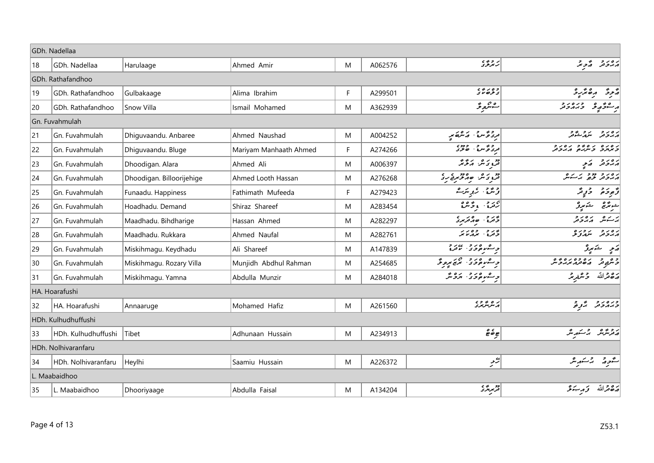|    | GDh. Nadellaa       |                           |                        |   |         |                                             |                                                                          |
|----|---------------------|---------------------------|------------------------|---|---------|---------------------------------------------|--------------------------------------------------------------------------|
| 18 | GDh. Nadellaa       | Harulaage                 | Ahmed Amir             | M | A062576 | ر و د ،<br>ر برتو د                         | أرور والمحافية                                                           |
|    | GDh. Rathafandhoo   |                           |                        |   |         |                                             |                                                                          |
| 19 | GDh. Rathafandhoo   | Gulbakaage                | Alima Ibrahim          | F | A299501 | و و ر د ء<br>د نوه ما د                     | ومعرف وكالمرباع                                                          |
| 20 | GDh. Rathafandhoo   | Snow Villa                | Ismail Mohamed         | M | A362939 | <u>م</u> ەمبىرىگە                           | بر عوٌ په دره د د                                                        |
|    | Gn. Fuvahmulah      |                           |                        |   |         |                                             |                                                                          |
| 21 | Gn. Fuvahmulah      | Dhiguvaandu. Anbaree      | Ahmed Naushad          | M | A004252 | ىرى ئۇسى <sup>تى ب</sup> ەر كەشھەمبە        | رەرو سەرھەر                                                              |
| 22 | Gn. Fuvahmulah      | Dhiguvaandu. Bluge        | Mariyam Manhaath Ahmed | F | A274266 | د د ه گور .<br>در د گوسه . ه مور            | ג סגם גם 20 גם גב<br><mark>ק</mark> יצו <i>נב ביינג</i> ם ו <i>ג</i> בנג |
| 23 | Gn. Fuvahmulah      | Dhoodigan. Alara          | Ahmed Ali              | M | A006397 | دو براهای محرمتر                            | ړ ور د کړ                                                                |
| 24 | Gn. Fuvahmulah      | Dhoodigan. Billoorijehige | Ahmed Looth Hassan     | M | A276268 | دو بر ۱۵ ورو د د د<br>ترو بر ۱۵ ورو بر د بر | رەرد دد رير                                                              |
| 25 | Gn. Fuvahmulah      | Funaadu. Happiness        | Fathimath Mufeeda      | F | A279423 | دېمنځ، رېږېدر ه                             | قەدىق قارىگە                                                             |
| 26 | Gn. Fuvahmulah      | Hoadhadu. Demand          | Shiraz Shareef         | M | A283454 | ەر دې ئوغروموسى<br>سىر ئوغروموسى            | خويرنج كتكبرو                                                            |
| 27 | Gn. Fuvahmulah      | Maadhadu. Bihdharige      | Hassan Ahmed           | M | A282297 | ورو.<br>وتره ورمز بر                        | يز کشش امرچ ور                                                           |
| 28 | Gn. Fuvahmulah      | Maadhadu. Rukkara         | Ahmed Naufal           | M | A282761 | د د د ده د د کار د                          | ره رو سروره<br>مررونس سمدونو                                             |
| 29 | Gn. Fuvahmulah      | Miskihmagu. Keydhadu      | Ali Shareef            | M | A147839 | ه مورد برد و<br>مرسوم دی مورد               | ړې شېږ                                                                   |
| 30 | Gn. Fuvahmulah      | Miskihmagu. Rozary Villa  | Munjidh Abdhul Rahman  | M | A254685 | ويسموه وزوجي للمعاني والمحمد                |                                                                          |
| 31 | Gn. Fuvahmulah      | Miskihmagu. Yamna         | Abdulla Munzir         | M | A284018 | و مسرور ده و ده د                           | رەقراللە دىمغرىمە                                                        |
|    | HA. Hoarafushi      |                           |                        |   |         |                                             |                                                                          |
| 32 | HA. Hoarafushi      | Annaaruge                 | Mohamed Hafiz          | M | A261560 | ر ۵ ۶ و ۷<br>د سرسربری                      | ورەر د بۇرۇ                                                              |
|    | HDh. Kulhudhuffushi |                           |                        |   |         |                                             |                                                                          |
| 33 | HDh. Kulhudhuffushi | Tibet                     | Adhunaan Hussain       | M | A234913 | $e$ $e$ $e$                                 | روموه برستهره                                                            |
|    | HDh. Nolhivaranfaru |                           |                        |   |         |                                             |                                                                          |
| 34 | HDh. Nolhivaranfaru | Heylhi                    | Saamiu Hussain         | M | A226372 | تشعر                                        | ستوري برستهريش                                                           |
|    | L. Maabaidhoo       |                           |                        |   |         |                                             |                                                                          |
| 35 | L. Maabaidhoo       | Dhooriyaage               | Abdulla Faisal         | M | A134204 | دد<br>تر پر پر پ                            | رە قراللە ئەربىك                                                         |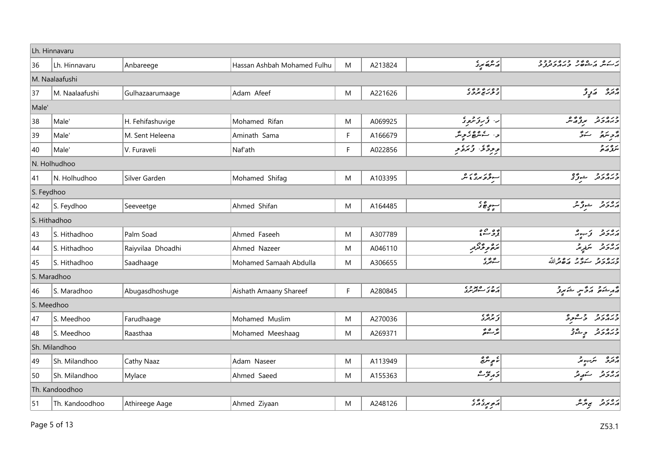|            | Lh. Hinnavaru  |                   |                             |           |         |                                                |                                                           |
|------------|----------------|-------------------|-----------------------------|-----------|---------|------------------------------------------------|-----------------------------------------------------------|
| 36         | Lh. Hinnavaru  | Anbareege         | Hassan Ashbah Mohamed Fulhu | M         | A213824 | پر هر پر پر                                    | بر کے مرکب ورور ورو و                                     |
|            | M. Naalaafushi |                   |                             |           |         |                                                |                                                           |
| 37         | M. Naalaafushi | Gulhazaarumaage   | Adam Afeef                  | M         | A221626 | و ه ر په و په و<br>د <del>ن</del> وربځ بورتو د | أرود كالمحياتي                                            |
| Male'      |                |                   |                             |           |         |                                                |                                                           |
| 38         | Male'          | H. Fehifashuvige  | Mohamed Rifan               | M         | A069925 | ر . ۇرۇتروتۇ                                   | ورەرو پروماش                                              |
| 39         | Male'          | M. Sent Heleena   | Aminath Sama                | F         | A166679 | و. سىشھۇمچە ئىر                                |                                                           |
| 40         | Male'          | V. Furaveli       | Naf'ath                     | F         | A022856 | وودء وبمدور                                    | ر ہ ر د<br>سرو پر ہ                                       |
|            | N. Holhudhoo   |                   |                             |           |         |                                                |                                                           |
| 41         | N. Holhudhoo   | Silver Garden     | Mohamed Shifaq              | ${\sf M}$ | A103395 | سەمۇرىيە كەنتىر                                | ورەرو بەرگ                                                |
| S. Feydhoo |                |                   |                             |           |         |                                                |                                                           |
| 42         | S. Feydhoo     | Seeveetge         | Ahmed Shifan                | M         | A164485 | ا سوھ جو<br>ا                                  | رەرو ھۆش                                                  |
|            | S. Hithadhoo   |                   |                             |           |         |                                                |                                                           |
| 43         | S. Hithadhoo   | Palm Soad         | Ahmed Faseeh                | ${\sf M}$ | A307789 | ېږه صوب <b>ه</b>                               | أرەر ئەسىر                                                |
| 44         | S. Hithadhoo   | Raiyvilaa Dhoadhi | Ahmed Nazeer                | M         | A046110 | برة و دُنْرىرِ                                 | رەرز ئىزىد                                                |
| 45         | S. Hithadhoo   | Saadhaage         | Mohamed Samaah Abdulla      | M         | A306655 | ر په دې په                                     | وره رو دوو ره والله                                       |
|            | S. Maradhoo    |                   |                             |           |         |                                                |                                                           |
| 46         | S. Maradhoo    | Abugasdhoshuge    | Aishath Amaany Shareef      | F         | A280845 | ر ور ه پوو ،<br>پرې کومر                       | ړ په شمې د د سي شو پر د                                   |
|            | S. Meedhoo     |                   |                             |           |         |                                                |                                                           |
| 47         | S. Meedhoo     | Farudhaage        | Mohamed Muslim              | M         | A270036 | ر و د ،<br>تو برترد                            | وره د و و ه و و<br>وبرورو د و گردو<br>وبرورو پی و و د و د |
| 48         | S. Meedhoo     | Raasthaa          | Mohamed Meeshaag            | M         | A269371 | پر ٥ پر                                        |                                                           |
|            | Sh. Milandhoo  |                   |                             |           |         |                                                |                                                           |
| 49         | Sh. Milandhoo  | Cathy Naaz        | Adam Naseer                 | M         | A113949 | ئىم پىرى                                       | ة دُوَرَقَ سَرَبِ دِرَّ<br> <br>  دِرُورَ سَرَمٍ دِرَّ    |
| 50         | Sh. Milandhoo  | Mylace            | Ahmed Saeed                 | M         | A155363 | ىر پىم ھ                                       |                                                           |
|            | Th. Kandoodhoo |                   |                             |           |         |                                                |                                                           |
| 51         | Th. Kandoodhoo | Athireege Aage    | Ahmed Ziyaan                | M         | A248126 | ړ <sub>ه برند</sub> و،                         | גפנג התייל                                                |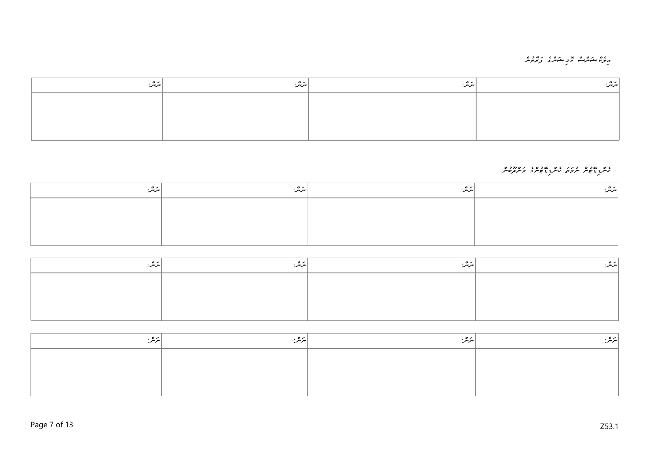## *w7qAn8m? sCw7mRo>u; wEw7mRw;sBo<*

| ' مرمر | 'يئرىثر: |
|--------|----------|
|        |          |
|        |          |
|        |          |

## *w7q9r@w7m> sCw7qHtFoFw7s; mAm=q7 w7qHtFoFw7s;*

| ىر تە | $\mathcal{O} \times$<br>$\sim$ | $\sim$<br>. . | لترنثر |
|-------|--------------------------------|---------------|--------|
|       |                                |               |        |
|       |                                |               |        |
|       |                                |               |        |

| $\frac{2}{n}$ | $^{\circ}$ | $\frac{2}{n}$ | $^{\circ}$<br>سرسر. |
|---------------|------------|---------------|---------------------|
|               |            |               |                     |
|               |            |               |                     |
|               |            |               |                     |

| ' ئىرتىر: | سر سر |  |
|-----------|-------|--|
|           |       |  |
|           |       |  |
|           |       |  |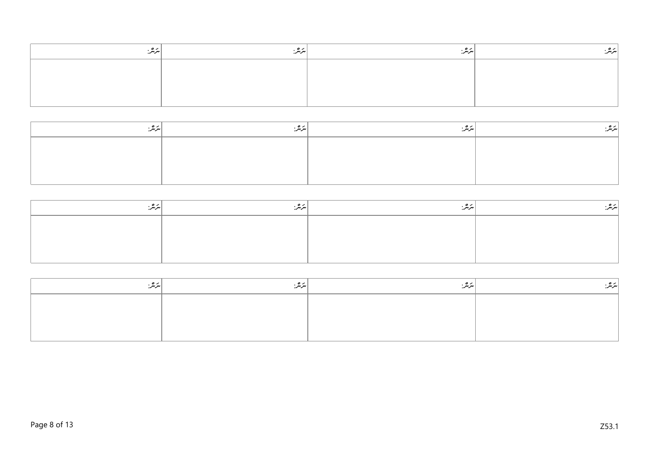| يره. | ο. | ا ير ه |  |
|------|----|--------|--|
|      |    |        |  |
|      |    |        |  |
|      |    |        |  |

| متريثر به | 。<br>'سرسر'۔ | يتزيترا | سرسر |
|-----------|--------------|---------|------|
|           |              |         |      |
|           |              |         |      |
|           |              |         |      |

| ىئرىتر. | $\sim$ | ا بر هه. | لىرىش |
|---------|--------|----------|-------|
|         |        |          |       |
|         |        |          |       |
|         |        |          |       |

| $\overline{\phantom{a}}$<br>سرس. | ر ه<br>,,, | . . | 。<br>سرس. |
|----------------------------------|------------|-----|-----------|
|                                  |            |     |           |
|                                  |            |     |           |
|                                  |            |     |           |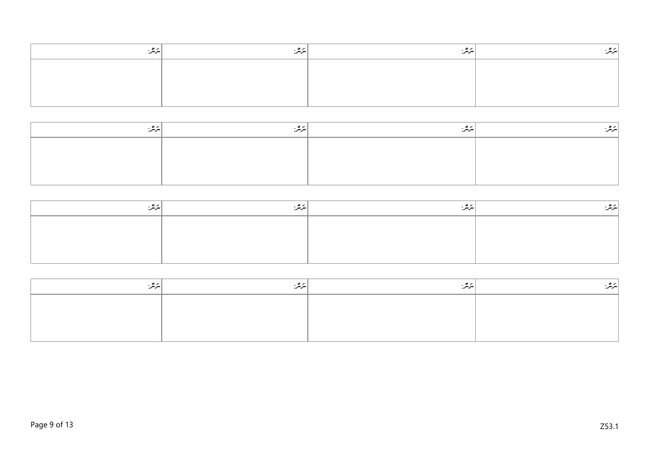| ير هو . | $\overline{\phantom{a}}$ | يرمر | اير هنه. |
|---------|--------------------------|------|----------|
|         |                          |      |          |
|         |                          |      |          |
|         |                          |      |          |

| ىر تىر: | $\circ$ $\sim$<br>" سرسر . | يترمير | o . |
|---------|----------------------------|--------|-----|
|         |                            |        |     |
|         |                            |        |     |
|         |                            |        |     |

| نتزيتر به | 。 | 。<br>سرسر. | o <i>~</i> |
|-----------|---|------------|------------|
|           |   |            |            |
|           |   |            |            |
|           |   |            |            |

|  | . ه |
|--|-----|
|  |     |
|  |     |
|  |     |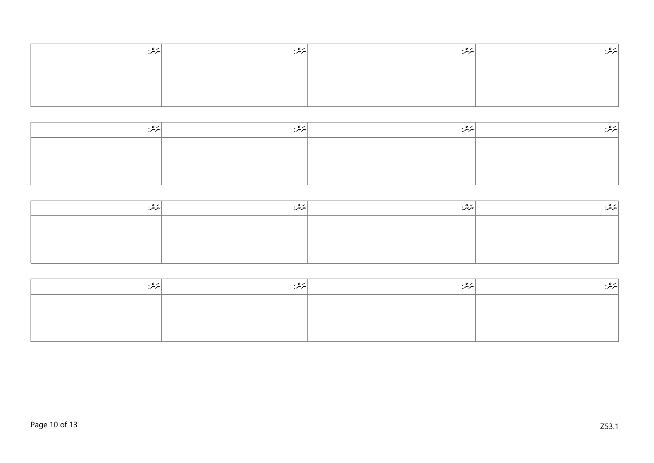| ير هو . | $\overline{\phantom{a}}$ | يرمر | اير هنه. |
|---------|--------------------------|------|----------|
|         |                          |      |          |
|         |                          |      |          |
|         |                          |      |          |

| ئىرتىر: | $\sim$<br>ا سرسر . | يئرمثر | o . |
|---------|--------------------|--------|-----|
|         |                    |        |     |
|         |                    |        |     |
|         |                    |        |     |

| 'تترنثر: | 。<br>,,,, |  |
|----------|-----------|--|
|          |           |  |
|          |           |  |
|          |           |  |

|  | . ه |
|--|-----|
|  |     |
|  |     |
|  |     |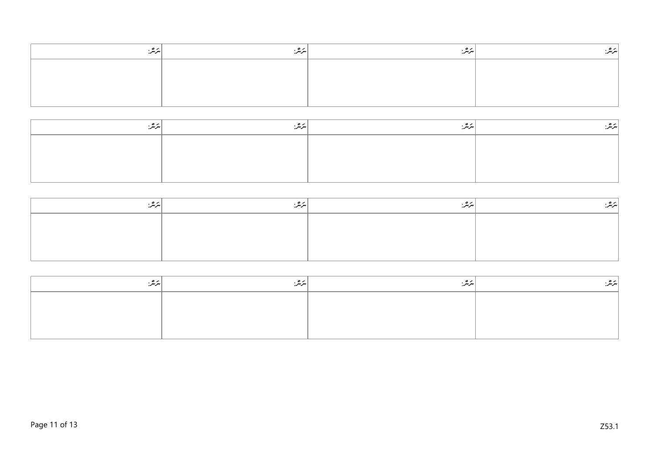| $\cdot$ | 。 | $\frac{\circ}{\cdot}$ | $\sim$<br>سرسر |
|---------|---|-----------------------|----------------|
|         |   |                       |                |
|         |   |                       |                |
|         |   |                       |                |

| ايرعر: | ر ه<br>. . |  |
|--------|------------|--|
|        |            |  |
|        |            |  |
|        |            |  |

| بر ه | . ه | $\sim$<br>سرسر |  |
|------|-----|----------------|--|
|      |     |                |  |
|      |     |                |  |
|      |     |                |  |

| 。<br>. س | ىرىىر |  |
|----------|-------|--|
|          |       |  |
|          |       |  |
|          |       |  |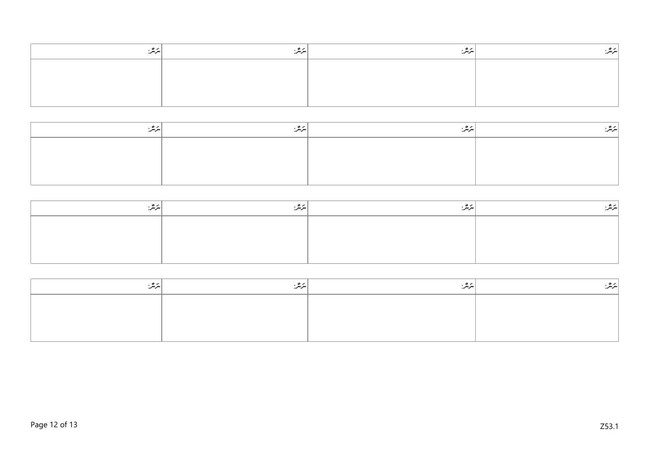| ير هو . | $\overline{\phantom{a}}$ | يرمر | اير هنه. |
|---------|--------------------------|------|----------|
|         |                          |      |          |
|         |                          |      |          |
|         |                          |      |          |

| ئىرتىر: | $\sim$<br>ا سرسر . | يئرمثر | o . |
|---------|--------------------|--------|-----|
|         |                    |        |     |
|         |                    |        |     |
|         |                    |        |     |

| 'تترنثر: | 。<br>,,,, |  |
|----------|-----------|--|
|          |           |  |
|          |           |  |
|          |           |  |

|  | . ه |
|--|-----|
|  |     |
|  |     |
|  |     |